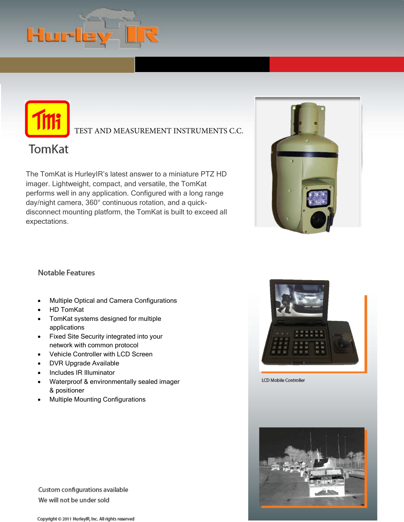

TEST AND MEASUREMENT INSTRUMENTS C.C.



The TomKat is HurleyIR's latest answer to a miniature PTZ HD imager. Lightweight, compact, and versatile, the TomKat performs well in any application. Configured with a long range day/night camera, 360° continuous rotation, and a quickdisconnect mounting platform, the TomKat is built to exceed all expectations.



# Notable Features

- Multiple Optical and Camera Configurations
- HD TomKat
- TomKat systems designed for multiple applications
- Fixed Site Security integrated into your network with common protocol
- Vehicle Controller with LCD Screen
- DVR Upgrade Available
- Includes IR Illuminator
- Waterproof & environmentally sealed imager & positioner
- Multiple Mounting Configurations



LCD Mobile Controller



Custom configurations available We will not be under sold